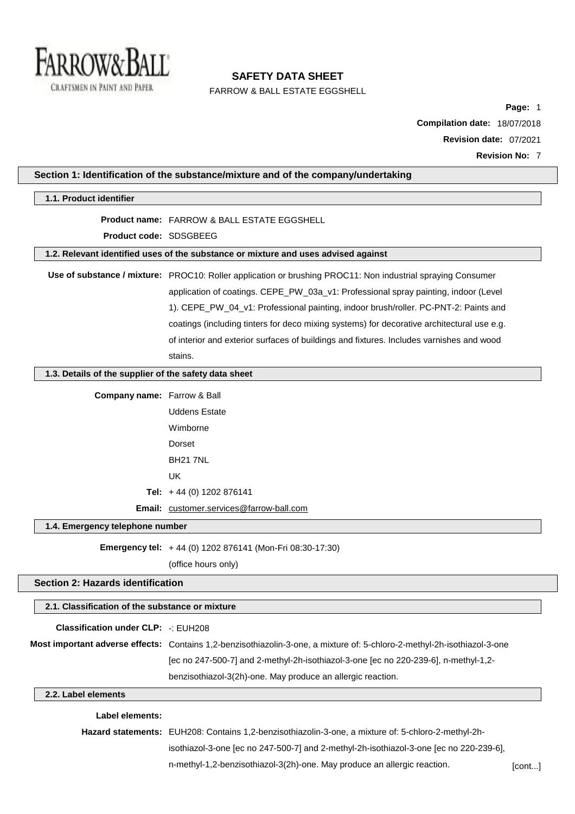

FARROW & BALL ESTATE EGGSHELL

**Page:** 1 **Compilation date:** 18/07/2018 **Revision date:** 07/2021 **Revision No:** 7

| 1.1. Product identifier                               |                                                                                                                          |  |
|-------------------------------------------------------|--------------------------------------------------------------------------------------------------------------------------|--|
|                                                       | <b>Product name: FARROW &amp; BALL ESTATE EGGSHELL</b>                                                                   |  |
| Product code: SDSGBEEG                                |                                                                                                                          |  |
|                                                       | 1.2. Relevant identified uses of the substance or mixture and uses advised against                                       |  |
|                                                       | Use of substance / mixture: PROC10: Roller application or brushing PROC11: Non industrial spraying Consumer              |  |
|                                                       | application of coatings. CEPE_PW_03a_v1: Professional spray painting, indoor (Level                                      |  |
|                                                       | 1). CEPE_PW_04_v1: Professional painting, indoor brush/roller. PC-PNT-2: Paints and                                      |  |
|                                                       | coatings (including tinters for deco mixing systems) for decorative architectural use e.g.                               |  |
|                                                       | of interior and exterior surfaces of buildings and fixtures. Includes varnishes and wood                                 |  |
|                                                       | stains.                                                                                                                  |  |
| 1.3. Details of the supplier of the safety data sheet |                                                                                                                          |  |
|                                                       |                                                                                                                          |  |
| Company name: Farrow & Ball                           |                                                                                                                          |  |
|                                                       | <b>Uddens Estate</b>                                                                                                     |  |
|                                                       | Wimborne                                                                                                                 |  |
|                                                       | Dorset                                                                                                                   |  |
|                                                       | <b>BH21 7NL</b>                                                                                                          |  |
|                                                       | <b>UK</b>                                                                                                                |  |
|                                                       | Tel: $+44$ (0) 1202 876141                                                                                               |  |
|                                                       | Email: customer.services@farrow-ball.com                                                                                 |  |
| 1.4. Emergency telephone number                       |                                                                                                                          |  |
|                                                       | Emergency tel: +44 (0) 1202 876141 (Mon-Fri 08:30-17:30)                                                                 |  |
|                                                       | (office hours only)                                                                                                      |  |
| Section 2: Hazards identification                     |                                                                                                                          |  |
| 2.1. Classification of the substance or mixture       |                                                                                                                          |  |
| <b>Classification under CLP: -: EUH208</b>            |                                                                                                                          |  |
|                                                       | Most important adverse effects: Contains 1,2-benzisothiazolin-3-one, a mixture of: 5-chloro-2-methyl-2h-isothiazol-3-one |  |
|                                                       | [ec no 247-500-7] and 2-methyl-2h-isothiazol-3-one [ec no 220-239-6], n-methyl-1,2-                                      |  |
|                                                       | benzisothiazol-3(2h)-one. May produce an allergic reaction.                                                              |  |
| 2.2. Label elements                                   |                                                                                                                          |  |
| Label elements:                                       |                                                                                                                          |  |
|                                                       | Hazard statements: EUH208: Contains 1,2-benzisothiazolin-3-one, a mixture of: 5-chloro-2-methyl-2h-                      |  |
|                                                       | isothiazol-3-one [ec no 247-500-7] and 2-methyl-2h-isothiazol-3-one [ec no 220-239-6],                                   |  |
|                                                       | n-methyl-1,2-benzisothiazol-3(2h)-one. May produce an allergic reaction.                                                 |  |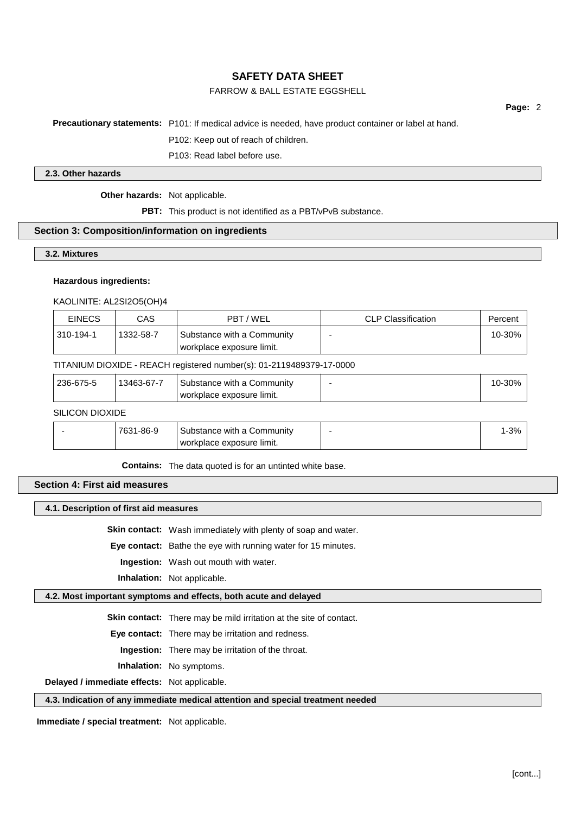# FARROW & BALL ESTATE EGGSHELL

**Page:** 2

**Precautionary statements:** P101: If medical advice is needed, have product container or label at hand.

P102: Keep out of reach of children.

P103: Read label before use.

#### **2.3. Other hazards**

**Other hazards:** Not applicable.

**PBT:** This product is not identified as a PBT/vPvB substance.

#### **Section 3: Composition/information on ingredients**

**3.2. Mixtures**

#### **Hazardous ingredients:**

KAOLINITE: AL2SI2O5(OH)4

| <b>EINECS</b> | CAS       | PBT/WEL                                                 | <b>CLP Classification</b> | Percent |
|---------------|-----------|---------------------------------------------------------|---------------------------|---------|
| 310-194-1     | 1332-58-7 | Substance with a Community<br>workplace exposure limit. |                           | 10-30%  |

#### TITANIUM DIOXIDE - REACH registered number(s): 01-2119489379-17-0000

| 236-675-5<br>13463-67-7<br>Substance with a Community<br>workplace exposure limit. | 10-30% |
|------------------------------------------------------------------------------------|--------|
|------------------------------------------------------------------------------------|--------|

### SILICON DIOXIDE

| 7631-86-9 | Substance with a Community | 1-3% |
|-----------|----------------------------|------|
|           | workplace exposure limit.  |      |

**Contains:** The data quoted is for an untinted white base.

# **Section 4: First aid measures**

#### **4.1. Description of first aid measures**

**Skin contact:** Wash immediately with plenty of soap and water.

**Eye contact:** Bathe the eye with running water for 15 minutes.

**Ingestion:** Wash out mouth with water.

**Inhalation:** Not applicable.

### **4.2. Most important symptoms and effects, both acute and delayed**

**Skin contact:** There may be mild irritation at the site of contact.

**Eye contact:** There may be irritation and redness.

**Ingestion:** There may be irritation of the throat.

**Inhalation:** No symptoms.

**Delayed / immediate effects:** Not applicable.

#### **4.3. Indication of any immediate medical attention and special treatment needed**

**Immediate / special treatment:** Not applicable.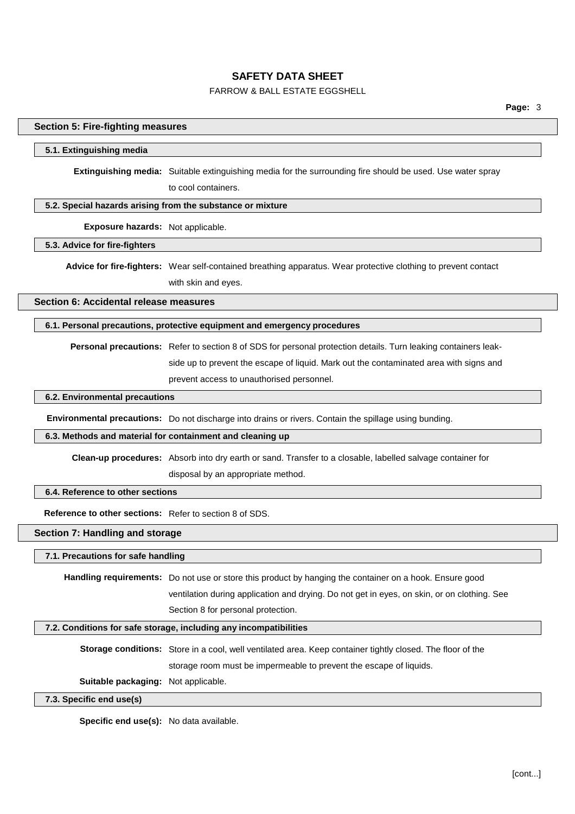### FARROW & BALL ESTATE EGGSHELL

#### **Section 5: Fire-fighting measures**

#### **5.1. Extinguishing media**

**Extinguishing media:** Suitable extinguishing media for the surrounding fire should be used. Use water spray to cool containers.

#### **5.2. Special hazards arising from the substance or mixture**

### **Exposure hazards:** Not applicable.

### **5.3. Advice for fire-fighters**

**Advice for fire-fighters:** Wear self-contained breathing apparatus. Wear protective clothing to prevent contact with skin and eyes.

**Section 6: Accidental release measures**

#### **6.1. Personal precautions, protective equipment and emergency procedures**

**Personal precautions:** Refer to section 8 of SDS for personal protection details. Turn leaking containers leakside up to prevent the escape of liquid. Mark out the contaminated area with signs and prevent access to unauthorised personnel.

### **6.2. Environmental precautions**

**Environmental precautions:** Do not discharge into drains or rivers. Contain the spillage using bunding.

#### **6.3. Methods and material for containment and cleaning up**

**Clean-up procedures:** Absorb into dry earth or sand. Transfer to a closable, labelled salvage container for disposal by an appropriate method.

#### **6.4. Reference to other sections**

**Reference to other sections:** Refer to section 8 of SDS.

#### **Section 7: Handling and storage**

#### **7.1. Precautions for safe handling**

**Handling requirements:** Do not use or store this product by hanging the container on a hook. Ensure good ventilation during application and drying. Do not get in eyes, on skin, or on clothing. See Section 8 for personal protection.

#### **7.2. Conditions for safe storage, including any incompatibilities**

**Storage conditions:** Store in a cool, well ventilated area. Keep container tightly closed. The floor of the storage room must be impermeable to prevent the escape of liquids.

**Suitable packaging:** Not applicable.

#### **7.3. Specific end use(s)**

**Specific end use(s):** No data available.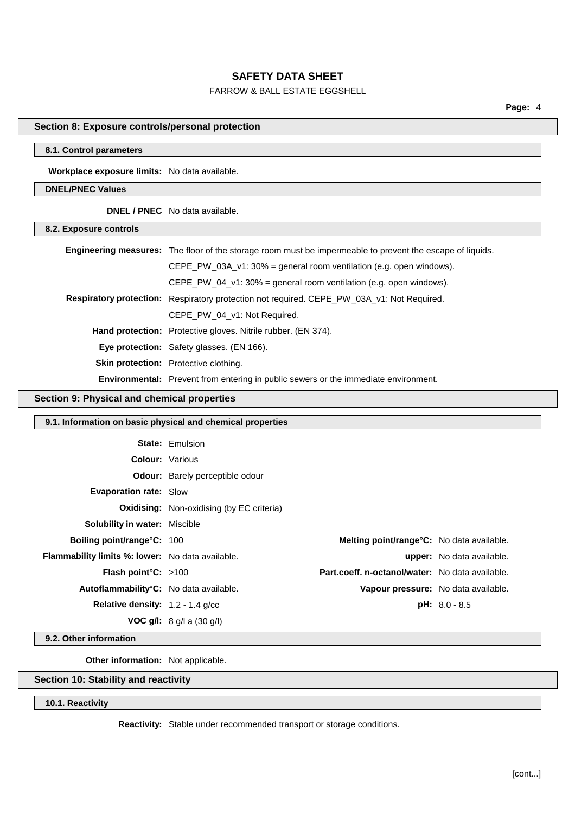# FARROW & BALL ESTATE EGGSHELL

**Page:** 4

### **Section 8: Exposure controls/personal protection**

#### **8.1. Control parameters**

**Workplace exposure limits:** No data available.

# **DNEL/PNEC Values**

**DNEL / PNEC** No data available.

| 8.2. Exposure controls |                                                                                                                  |
|------------------------|------------------------------------------------------------------------------------------------------------------|
|                        | <b>Engineering measures:</b> The floor of the storage room must be impermeable to prevent the escape of liquids. |
|                        | CEPE PW 03A $v1:30\%$ = general room ventilation (e.g. open windows).                                            |
|                        | CEPE PW 04 $v1:30\%$ = general room ventilation (e.g. open windows).                                             |
|                        | <b>Respiratory protection:</b> Respiratory protection not required. CEPE PW 03A v1: Not Required.                |
|                        | CEPE PW 04 v1: Not Required.                                                                                     |
|                        | <b>Hand protection:</b> Protective gloves. Nitrile rubber. (EN 374).                                             |
|                        | Eye protection: Safety glasses. (EN 166).                                                                        |
|                        | <b>Skin protection:</b> Protective clothing.                                                                     |
|                        | <b>Environmental:</b> Prevent from entering in public sewers or the immediate environment.                       |

### **Section 9: Physical and chemical properties**

| 9.1. Information on basic physical and chemical properties |                                                  |                                                  |                                  |
|------------------------------------------------------------|--------------------------------------------------|--------------------------------------------------|----------------------------------|
|                                                            | <b>State: Emulsion</b>                           |                                                  |                                  |
| <b>Colour: Various</b>                                     |                                                  |                                                  |                                  |
|                                                            | <b>Odour:</b> Barely perceptible odour           |                                                  |                                  |
| <b>Evaporation rate: Slow</b>                              |                                                  |                                                  |                                  |
|                                                            | <b>Oxidising:</b> Non-oxidising (by EC criteria) |                                                  |                                  |
| <b>Solubility in water: Miscible</b>                       |                                                  |                                                  |                                  |
| <b>Boiling point/range°C: 100</b>                          |                                                  | <b>Melting point/range°C:</b> No data available. |                                  |
| <b>Flammability limits %: lower:</b> No data available.    |                                                  |                                                  | <b>upper:</b> No data available. |
| <b>Flash point °C:</b> $>100$                              |                                                  | Part.coeff. n-octanol/water: No data available.  |                                  |
| Autoflammability°C: No data available.                     |                                                  | Vapour pressure: No data available.              |                                  |
| Relative density: 1.2 - 1.4 g/cc                           |                                                  |                                                  | $pH: 8.0 - 8.5$                  |
|                                                            | <b>VOC g/l:</b> $8 q/ a  (30 q/ b )$             |                                                  |                                  |

### **9.2. Other information**

**Other information:** Not applicable.

# **Section 10: Stability and reactivity**

# **10.1. Reactivity**

**Reactivity:** Stable under recommended transport or storage conditions.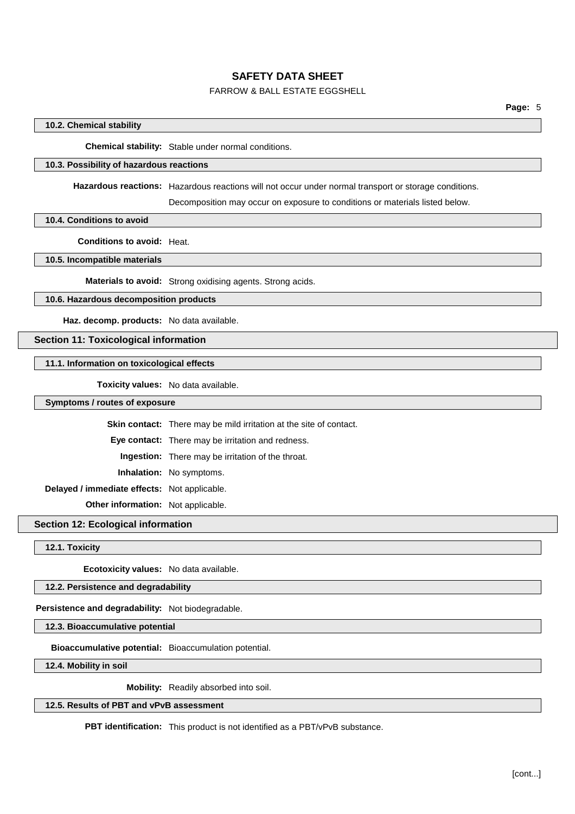# FARROW & BALL ESTATE EGGSHELL

#### **10.2. Chemical stability**

**Chemical stability:** Stable under normal conditions.

#### **10.3. Possibility of hazardous reactions**

**Hazardous reactions:** Hazardous reactions will not occur under normal transport or storage conditions.

Decomposition may occur on exposure to conditions or materials listed below.

**10.4. Conditions to avoid**

**Conditions to avoid:** Heat.

**10.5. Incompatible materials**

**Materials to avoid:** Strong oxidising agents. Strong acids.

# **10.6. Hazardous decomposition products**

**Haz. decomp. products:** No data available.

# **Section 11: Toxicological information**

#### **11.1. Information on toxicological effects**

**Toxicity values:** No data available.

**Symptoms / routes of exposure**

**Skin contact:** There may be mild irritation at the site of contact.

**Eye contact:** There may be irritation and redness.

**Ingestion:** There may be irritation of the throat.

**Inhalation:** No symptoms.

**Delayed / immediate effects:** Not applicable.

**Other information:** Not applicable.

**Section 12: Ecological information**

**12.1. Toxicity**

**Ecotoxicity values:** No data available.

**12.2. Persistence and degradability**

**Persistence and degradability:** Not biodegradable.

**12.3. Bioaccumulative potential**

**Bioaccumulative potential:** Bioaccumulation potential.

**12.4. Mobility in soil**

**Mobility:** Readily absorbed into soil.

**12.5. Results of PBT and vPvB assessment**

**PBT identification:** This product is not identified as a PBT/vPvB substance.